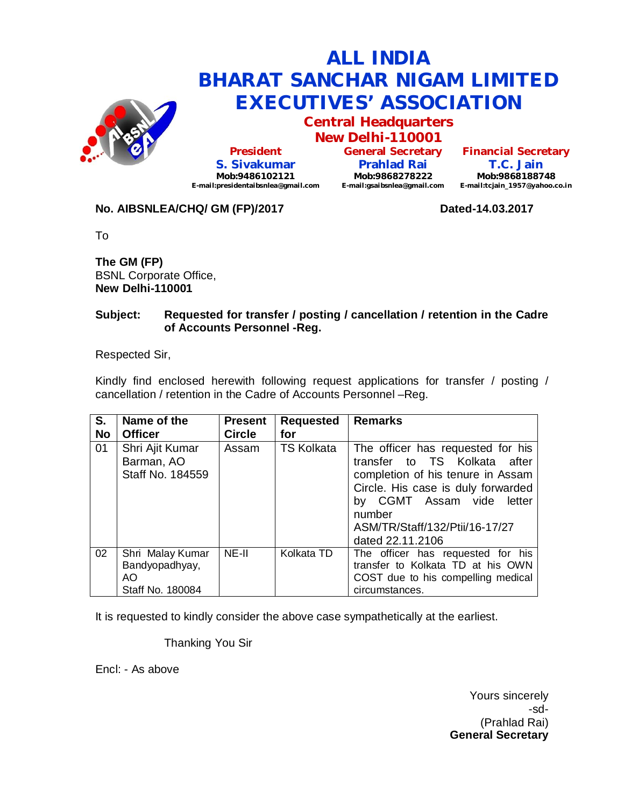

# **ALL INDIA BHARAT SANCHAR NIGAM LIMITED EXECUTIVES' ASSOCIATION**

**Central Headquarters**

**New Delhi-110001 President S. Sivakumar Mob:9486102121 E-mail:presidentaibsnlea@gmail.com**

**General Secretary Prahlad Rai Mob:9868278222 E-mail:gsaibsnlea@gmail.com**

**Financial Secretary T.C. Jain Mob:9868188748 E-mail:tcjain\_1957@yahoo.co.in**

## **No. AIBSNLEA/CHQ/ GM (FP)/2017 Dated-14.03.2017**

To

**The GM (FP)** BSNL Corporate Office, **New Delhi-110001** 

#### **Subject: Requested for transfer / posting / cancellation / retention in the Cadre of Accounts Personnel -Reg.**

Respected Sir,

Kindly find enclosed herewith following request applications for transfer / posting / cancellation / retention in the Cadre of Accounts Personnel –Reg.

| S.<br><b>No</b> | Name of the<br><b>Officer</b>                                 | <b>Present</b><br><b>Circle</b> | <b>Requested</b><br>for | <b>Remarks</b>                                                                                                                                                                                                                                  |
|-----------------|---------------------------------------------------------------|---------------------------------|-------------------------|-------------------------------------------------------------------------------------------------------------------------------------------------------------------------------------------------------------------------------------------------|
| 01              | Shri Ajit Kumar<br>Barman, AO<br>Staff No. 184559             | Assam                           | <b>TS Kolkata</b>       | The officer has requested for his<br>transfer to TS Kolkata<br>after<br>completion of his tenure in Assam<br>Circle. His case is duly forwarded<br>by CGMT Assam vide<br>letter<br>number<br>ASM/TR/Staff/132/Ptii/16-17/27<br>dated 22.11.2106 |
| 02              | Shri Malay Kumar<br>Bandyopadhyay,<br>AO.<br>Staff No. 180084 | NE-II                           | Kolkata TD              | The officer has requested for his<br>transfer to Kolkata TD at his OWN<br>COST due to his compelling medical<br>circumstances.                                                                                                                  |

It is requested to kindly consider the above case sympathetically at the earliest.

Thanking You Sir

Encl: - As above

Yours sincerely -sd- (Prahlad Rai) **General Secretary**